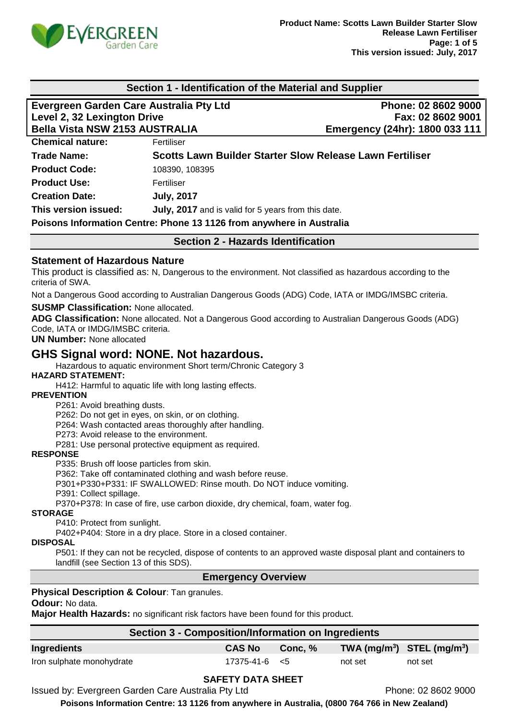

# **Section 1 - Identification of the Material and Supplier Evergreen Garden Care Australia Pty Ltd Phone: 02 8602 9000 Level 2, 32 Lexington Drive Fax: 02 8602 9001 Bella Vista NSW 2153 AUSTRALIA Emergency (24hr): 1800 033 111 Chemical nature:** Fertiliser **Trade Name: Scotts Lawn Builder Starter Slow Release Lawn Fertiliser Product Code:** 108390, 108395 **Product Use:** Fertiliser **Creation Date: July, 2017 This version issued: July, 2017** and is valid for 5 years from this date. **Poisons Information Centre: Phone 13 1126 from anywhere in Australia Section 2 - Hazards Identification Statement of Hazardous Nature**  This product is classified as: N, Dangerous to the environment. Not classified as hazardous according to the criteria of SWA. Not a Dangerous Good according to Australian Dangerous Goods (ADG) Code, IATA or IMDG/IMSBC criteria. **SUSMP Classification:** None allocated. **ADG Classification:** None allocated. Not a Dangerous Good according to Australian Dangerous Goods (ADG) Code, IATA or IMDG/IMSBC criteria. **UN Number:** None allocated **GHS Signal word: NONE. Not hazardous.**  Hazardous to aquatic environment Short term/Chronic Category 3 **HAZARD STATEMENT:** H412: Harmful to aquatic life with long lasting effects. **PREVENTION** P261: Avoid breathing dusts. P262: Do not get in eyes, on skin, or on clothing. P264: Wash contacted areas thoroughly after handling. P273: Avoid release to the environment. P281: Use personal protective equipment as required. **RESPONSE** P335: Brush off loose particles from skin. P362: Take off contaminated clothing and wash before reuse. P301+P330+P331: IF SWALLOWED: Rinse mouth. Do NOT induce vomiting. P391: Collect spillage. P370+P378: In case of fire, use carbon dioxide, dry chemical, foam, water fog. **STORAGE** P410: Protect from sunlight. P402+P404: Store in a dry place. Store in a closed container. **DISPOSAL** P501: If they can not be recycled, dispose of contents to an approved waste disposal plant and containers to landfill (see Section 13 of this SDS). **Emergency Overview Physical Description & Colour**: Tan granules. **Odour:** No data. **Major Health Hazards:** no significant risk factors have been found for this product. **Section 3 - Composition/Information on Ingredients Ingredients CAS No Conc, % TWA (mg/m<sup>3</sup> ) STEL (mg/m<sup>3</sup> )** Iron sulphate monohydrate 17375-41-6 <5 not set not set not set

#### **SAFETY DATA SHEET**

Issued by: Evergreen Garden Care Australia Pty Ltd **Phone: 02 8602 9000** 

**Poisons Information Centre: 13 1126 from anywhere in Australia, (0800 764 766 in New Zealand)**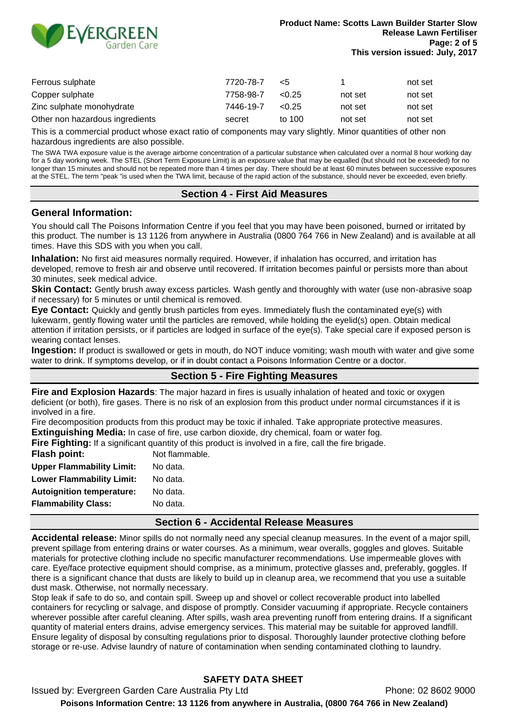

| Ferrous sulphate                | 7720-78-7 | <5     |         | not set |
|---------------------------------|-----------|--------|---------|---------|
| Copper sulphate                 | 7758-98-7 | < 0.25 | not set | not set |
| Zinc sulphate monohydrate       | 7446-19-7 | < 0.25 | not set | not set |
| Other non hazardous ingredients | secret    | to 100 | not set | not set |

This is a commercial product whose exact ratio of components may vary slightly. Minor quantities of other non hazardous ingredients are also possible.

The SWA TWA exposure value is the average airborne concentration of a particular substance when calculated over a normal 8 hour working day for a 5 day working week. The STEL (Short Term Exposure Limit) is an exposure value that may be equalled (but should not be exceeded) for no longer than 15 minutes and should not be repeated more than 4 times per day. There should be at least 60 minutes between successive exposures at the STEL. The term "peak "is used when the TWA limit, because of the rapid action of the substance, should never be exceeded, even briefly.

#### **Section 4 - First Aid Measures**

#### **General Information:**

You should call The Poisons Information Centre if you feel that you may have been poisoned, burned or irritated by this product. The number is 13 1126 from anywhere in Australia (0800 764 766 in New Zealand) and is available at all times. Have this SDS with you when you call.

**Inhalation:** No first aid measures normally required. However, if inhalation has occurred, and irritation has developed, remove to fresh air and observe until recovered. If irritation becomes painful or persists more than about 30 minutes, seek medical advice.

**Skin Contact:** Gently brush away excess particles. Wash gently and thoroughly with water (use non-abrasive soap if necessary) for 5 minutes or until chemical is removed.

**Eye Contact:** Quickly and gently brush particles from eyes. Immediately flush the contaminated eye(s) with lukewarm, gently flowing water until the particles are removed, while holding the eyelid(s) open. Obtain medical attention if irritation persists, or if particles are lodged in surface of the eye(s). Take special care if exposed person is wearing contact lenses.

**Ingestion:** If product is swallowed or gets in mouth, do NOT induce vomiting; wash mouth with water and give some water to drink. If symptoms develop, or if in doubt contact a Poisons Information Centre or a doctor.

#### **Section 5 - Fire Fighting Measures**

**Fire and Explosion Hazards**: The major hazard in fires is usually inhalation of heated and toxic or oxygen deficient (or both), fire gases. There is no risk of an explosion from this product under normal circumstances if it is involved in a fire.

Fire decomposition products from this product may be toxic if inhaled. Take appropriate protective measures. **Extinguishing Media:** In case of fire, use carbon dioxide, dry chemical, foam or water fog.

**Fire Fighting:** If a significant quantity of this product is involved in a fire, call the fire brigade.

| Flash point:                     | Not flammable. |
|----------------------------------|----------------|
| <b>Upper Flammability Limit:</b> | No data.       |
| <b>Lower Flammability Limit:</b> | No data.       |
| <b>Autoignition temperature:</b> | No data.       |
| <b>Flammability Class:</b>       | No data.       |
|                                  |                |

#### **Section 6 - Accidental Release Measures**

**Accidental release:** Minor spills do not normally need any special cleanup measures. In the event of a major spill, prevent spillage from entering drains or water courses. As a minimum, wear overalls, goggles and gloves. Suitable materials for protective clothing include no specific manufacturer recommendations. Use impermeable gloves with care. Eye/face protective equipment should comprise, as a minimum, protective glasses and, preferably, goggles. If there is a significant chance that dusts are likely to build up in cleanup area, we recommend that you use a suitable dust mask. Otherwise, not normally necessary.

Stop leak if safe to do so, and contain spill. Sweep up and shovel or collect recoverable product into labelled containers for recycling or salvage, and dispose of promptly. Consider vacuuming if appropriate. Recycle containers wherever possible after careful cleaning. After spills, wash area preventing runoff from entering drains. If a significant quantity of material enters drains, advise emergency services. This material may be suitable for approved landfill. Ensure legality of disposal by consulting regulations prior to disposal. Thoroughly launder protective clothing before storage or re-use. Advise laundry of nature of contamination when sending contaminated clothing to laundry.

# **SAFETY DATA SHEET**

Issued by: Evergreen Garden Care Australia Pty Ltd **Phone: 02 8602 9000 Poisons Information Centre: 13 1126 from anywhere in Australia, (0800 764 766 in New Zealand)**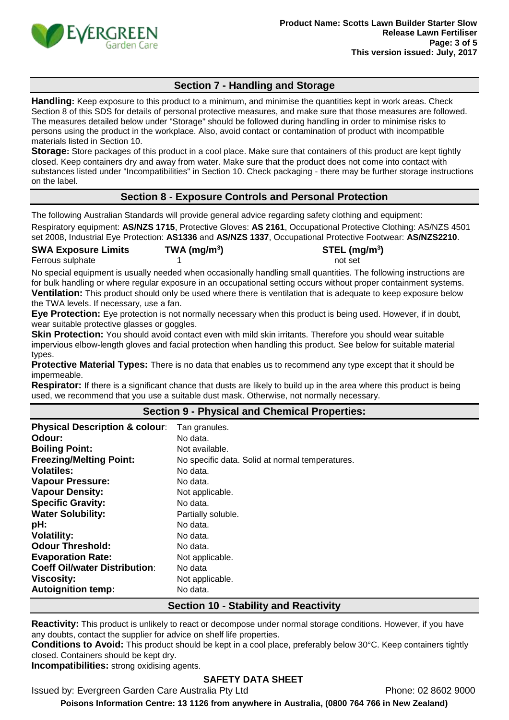

# **Section 7 - Handling and Storage**

**Handling:** Keep exposure to this product to a minimum, and minimise the quantities kept in work areas. Check Section 8 of this SDS for details of personal protective measures, and make sure that those measures are followed. The measures detailed below under "Storage" should be followed during handling in order to minimise risks to persons using the product in the workplace. Also, avoid contact or contamination of product with incompatible materials listed in Section 10.

**Storage:** Store packages of this product in a cool place. Make sure that containers of this product are kept tightly closed. Keep containers dry and away from water. Make sure that the product does not come into contact with substances listed under "Incompatibilities" in Section 10. Check packaging - there may be further storage instructions on the label.

# **Section 8 - Exposure Controls and Personal Protection**

The following Australian Standards will provide general advice regarding safety clothing and equipment:

Respiratory equipment: **AS/NZS 1715**, Protective Gloves: **AS 2161**, Occupational Protective Clothing: AS/NZS 4501 set 2008, Industrial Eye Protection: **AS1336** and **AS/NZS 1337**, Occupational Protective Footwear: **AS/NZS2210**.

**SWA Exposure Limits TWA (mg/m<sup>3</sup>** Ferrous sulphate 1 and 1 not set 1 not set 1 and 1 and 1 and 1 and 1 and 1 and 1 and 1 and 1 and 1 and 1 and 1 and 1 and 1 and 1 and 1 and 1 and 1 and 1 and 1 and 1 and 1 and 1 and 1 and 1 and 1 and 1 and 1 and 1 and 1 and

**) STEL (mg/m<sup>3</sup> )**

No special equipment is usually needed when occasionally handling small quantities. The following instructions are for bulk handling or where regular exposure in an occupational setting occurs without proper containment systems. **Ventilation:** This product should only be used where there is ventilation that is adequate to keep exposure below the TWA levels. If necessary, use a fan.

**Eye Protection:** Eye protection is not normally necessary when this product is being used. However, if in doubt, wear suitable protective glasses or goggles.

**Skin Protection:** You should avoid contact even with mild skin irritants. Therefore you should wear suitable impervious elbow-length gloves and facial protection when handling this product. See below for suitable material types.

**Protective Material Types:** There is no data that enables us to recommend any type except that it should be impermeable.

**Respirator:** If there is a significant chance that dusts are likely to build up in the area where this product is being used, we recommend that you use a suitable dust mask. Otherwise, not normally necessary.

#### **Section 9 - Physical and Chemical Properties:**

| <b>Physical Description &amp; colour:</b>    | Tan granules.                                   |  |  |  |
|----------------------------------------------|-------------------------------------------------|--|--|--|
| Odour:                                       | No data.                                        |  |  |  |
| <b>Boiling Point:</b>                        | Not available.                                  |  |  |  |
| <b>Freezing/Melting Point:</b>               | No specific data. Solid at normal temperatures. |  |  |  |
| <b>Volatiles:</b>                            | No data.                                        |  |  |  |
| <b>Vapour Pressure:</b>                      | No data.                                        |  |  |  |
| <b>Vapour Density:</b>                       | Not applicable.                                 |  |  |  |
| <b>Specific Gravity:</b>                     | No data.                                        |  |  |  |
| <b>Water Solubility:</b>                     | Partially soluble.                              |  |  |  |
| pH:                                          | No data.                                        |  |  |  |
| <b>Volatility:</b>                           | No data.                                        |  |  |  |
| <b>Odour Threshold:</b>                      | No data.                                        |  |  |  |
| <b>Evaporation Rate:</b>                     | Not applicable.                                 |  |  |  |
| <b>Coeff Oil/water Distribution:</b>         | No data                                         |  |  |  |
| <b>Viscosity:</b>                            | Not applicable.                                 |  |  |  |
| <b>Autoignition temp:</b>                    | No data.                                        |  |  |  |
| <b>Section 10 - Stability and Reactivity</b> |                                                 |  |  |  |

**Reactivity:** This product is unlikely to react or decompose under normal storage conditions. However, if you have any doubts, contact the supplier for advice on shelf life properties.

**Conditions to Avoid:** This product should be kept in a cool place, preferably below 30°C. Keep containers tightly closed. Containers should be kept dry.

**Incompatibilities:** strong oxidising agents.

# **SAFETY DATA SHEET**

Issued by: Evergreen Garden Care Australia Pty Ltd **Phone: 02 8602 9000** 

**Poisons Information Centre: 13 1126 from anywhere in Australia, (0800 764 766 in New Zealand)**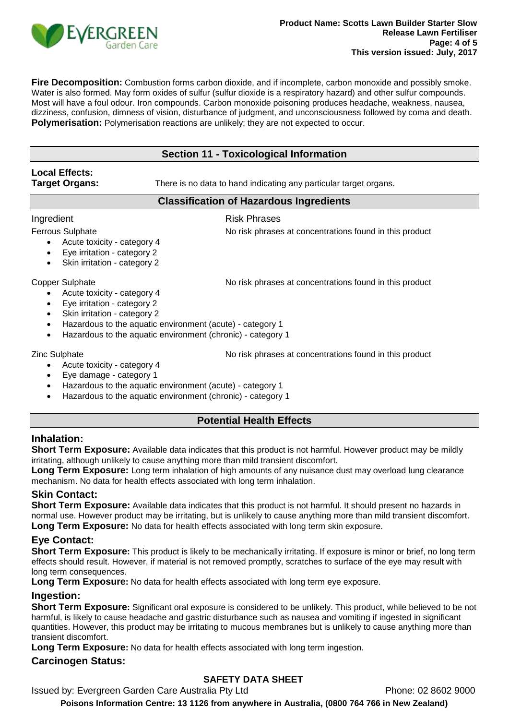

**Fire Decomposition:** Combustion forms carbon dioxide, and if incomplete, carbon monoxide and possibly smoke. Water is also formed. May form oxides of sulfur (sulfur dioxide is a respiratory hazard) and other sulfur compounds. Most will have a foul odour. Iron compounds. Carbon monoxide poisoning produces headache, weakness, nausea, dizziness, confusion, dimness of vision, disturbance of judgment, and unconsciousness followed by coma and death. **Polymerisation:** Polymerisation reactions are unlikely; they are not expected to occur.

# **Section 11 - Toxicological Information**

# **Local Effects:**

**Target Organs:** There is no data to hand indicating any particular target organs.

#### **Classification of Hazardous Ingredients**

Ingredient **Risk Phrases** 

- Ferrous Sulphate **No risk phrases at concentrations found in this product** 
	- Acute toxicity category 4
	- Eye irritation category 2
	- Skin irritation category 2

Copper Sulphate No risk phrases at concentrations found in this product

- Acute toxicity category 4
- Eye irritation category 2
- Skin irritation category 2
- Hazardous to the aquatic environment (acute) category 1
- Hazardous to the aquatic environment (chronic) category 1

Zinc Sulphate No risk phrases at concentrations found in this product

- Acute toxicity category 4
- Eye damage category 1
- Hazardous to the aquatic environment (acute) category 1
- Hazardous to the aquatic environment (chronic) category 1

# **Potential Health Effects**

# **Inhalation:**

**Short Term Exposure:** Available data indicates that this product is not harmful. However product may be mildly irritating, although unlikely to cause anything more than mild transient discomfort.

**Long Term Exposure:** Long term inhalation of high amounts of any nuisance dust may overload lung clearance mechanism. No data for health effects associated with long term inhalation.

# **Skin Contact:**

**Short Term Exposure:** Available data indicates that this product is not harmful. It should present no hazards in normal use. However product may be irritating, but is unlikely to cause anything more than mild transient discomfort. **Long Term Exposure:** No data for health effects associated with long term skin exposure.

# **Eye Contact:**

**Short Term Exposure:** This product is likely to be mechanically irritating. If exposure is minor or brief, no long term effects should result. However, if material is not removed promptly, scratches to surface of the eye may result with long term consequences.

**Long Term Exposure:** No data for health effects associated with long term eye exposure.

# **Ingestion:**

**Short Term Exposure:** Significant oral exposure is considered to be unlikely. This product, while believed to be not harmful, is likely to cause headache and gastric disturbance such as nausea and vomiting if ingested in significant quantities. However, this product may be irritating to mucous membranes but is unlikely to cause anything more than transient discomfort.

**Long Term Exposure:** No data for health effects associated with long term ingestion.

# **Carcinogen Status:**

# **SAFETY DATA SHEET**

Issued by: Evergreen Garden Care Australia Pty Ltd Phone: 02 8602 9000

**Poisons Information Centre: 13 1126 from anywhere in Australia, (0800 764 766 in New Zealand)**